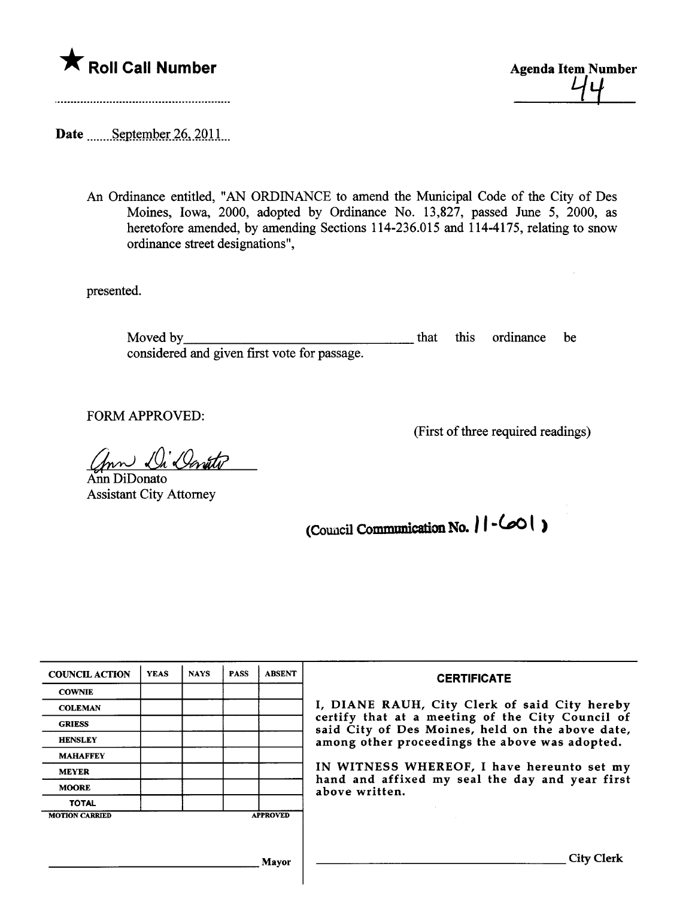

<u>74</u>

Date <u>manus September 26</u>, 2011.

An Ordinance entitled, "AN ORDINANCE to amend the Muncipal Code of the City of Des Moines, Iowa, 2000, adopted by Ordinance No. 13,827, passed June 5, 2000, as heretofore amended, by amending Sections 114-236.015 and 114-4175, relating to snow ordinance street designations",

presented.

Moved by considered and given first vote for passage. that ths ordinance be

FORM APPROVED:

(First of thee required readings)

Ann Di Devitor

Assistant City Attorney

(Council Communication No.  $||$  -  $\infty$  )

| <b>COUNCIL ACTION</b> | <b>YEAS</b> | <b>NAYS</b> | <b>PASS</b> | <b>ABSENT</b>   | <b>CERTIFICATE</b><br>I, DIANE RAUH, City Clerk of said City hereby<br>certify that at a meeting of the City Council of<br>said City of Des Moines, held on the above date,<br>among other proceedings the above was adopted.<br>IN WITNESS WHEREOF, I have hereunto set my<br>hand and affixed my seal the day and year first<br>above written. |
|-----------------------|-------------|-------------|-------------|-----------------|--------------------------------------------------------------------------------------------------------------------------------------------------------------------------------------------------------------------------------------------------------------------------------------------------------------------------------------------------|
| <b>COWNIE</b>         |             |             |             |                 |                                                                                                                                                                                                                                                                                                                                                  |
| <b>COLEMAN</b>        |             |             |             |                 |                                                                                                                                                                                                                                                                                                                                                  |
| <b>GRIESS</b>         |             |             |             |                 |                                                                                                                                                                                                                                                                                                                                                  |
| <b>HENSLEY</b>        |             |             |             |                 |                                                                                                                                                                                                                                                                                                                                                  |
| <b>MAHAFFEY</b>       |             |             |             |                 |                                                                                                                                                                                                                                                                                                                                                  |
| <b>MEYER</b>          |             |             |             |                 |                                                                                                                                                                                                                                                                                                                                                  |
| <b>MOORE</b>          |             |             |             |                 |                                                                                                                                                                                                                                                                                                                                                  |
| <b>TOTAL</b>          |             |             |             |                 |                                                                                                                                                                                                                                                                                                                                                  |
| <b>MOTION CARRIED</b> |             |             |             | <b>APPROVED</b> |                                                                                                                                                                                                                                                                                                                                                  |
|                       |             |             |             |                 |                                                                                                                                                                                                                                                                                                                                                  |
|                       |             |             |             |                 |                                                                                                                                                                                                                                                                                                                                                  |
| Mayor                 |             |             |             |                 | City \<br><b>Clerk</b>                                                                                                                                                                                                                                                                                                                           |
|                       |             |             |             |                 |                                                                                                                                                                                                                                                                                                                                                  |

 $\overline{\phantom{a}}$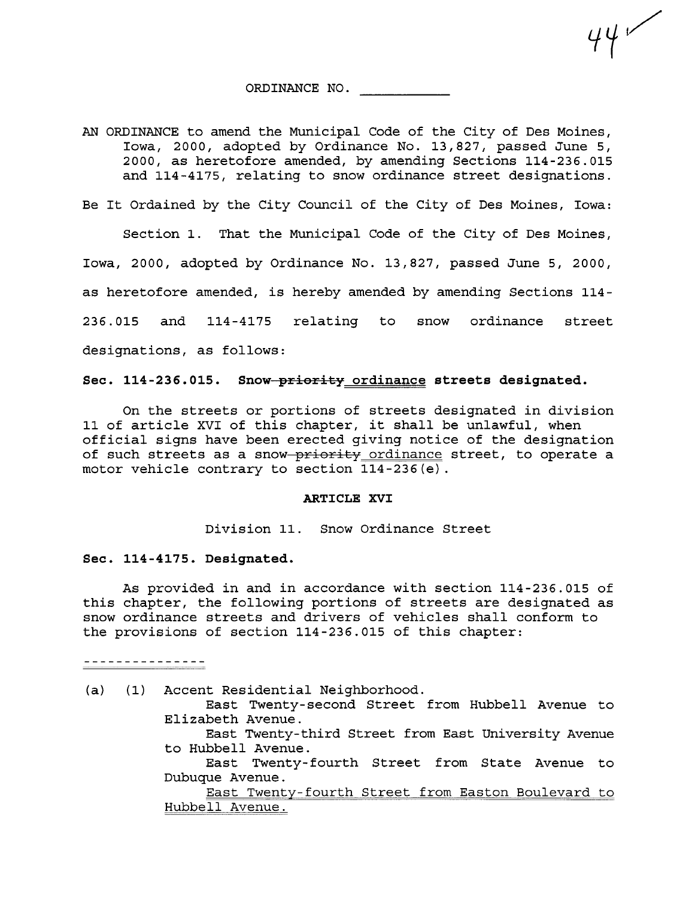ORDINANCE NO.

 $44$ 

AN ORDINANCE to amend the Municipal Code of the City of Des Moines, Iowa, 2000, adopted by Ordinance No. 13,827, passed June 5, 2000, as heretofore amended, by amending Sections 114-236.015 and 114 -4175, relating to snow ordinance street designations.

Be It Ordained by the City Council of the City of Des Moines, Iowa:

Section 1. That the Municipal Code of the City of Des Moines, Iowa, 2000, adopted by Ordinance No. 13,827, passed June 5, 2000, as heretofore amended, is hereby amended by amending Sections 114- 236.015 and 114-4175 relating to snow ordinance street designations, as follows:

Sec. 114-236.015. Snow-priority ordinance streets designated.

On the streets or portions of streets designated in division 11 of article XVI of this chapter, it shall be unlawful, when official signs have been erected giving notice of the designation of such streets as a snow priority ordinance street, to operate a motor vehicle contrary to section 114-236 (e) .

## ARTICLE XVI

Division 11. Snow Ordinance Street

## Sec. 114-4175. Designated.

As provided in and in accordance with section 114-236.015 of this chapter, the following portions of streets are designated as snow ordinance streets and drivers of vehicles shall conform to the provisions of section 114-236.015 of this chapter:

---------------

- (a) (1) Accent Residential Neighborhood.
	- East Twenty- second Street from Hubbell Avenue to Elizabeth Avenue.
	- East Twenty-third Street from East University Avenue to Hubbell Avenue.
	- East Twenty- fourth Street from State Avenue to Dubuque Avenue.

East Twenty- fourth Street from Easton Boulevard to Hubbell Avenue.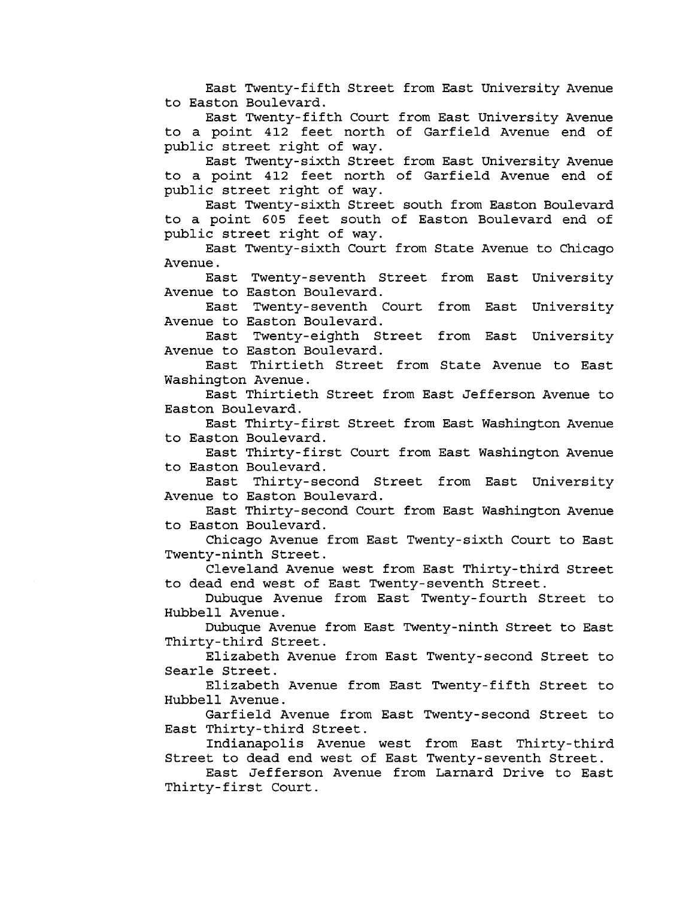East Twenty-fifth Street from East University Avenue to Easton Boulevard.

East Twenty-fifth Court from East University Avenue to a point 412 feet north of Garfield Avenue end of public street right of way.

East Twenty-sixth Street from East University Avenue to a point 412 feet north of Garfield Avenue end of public street right of way.

East Twenty-sixth Street south from Easton Boulevard to a point 605 feet south of Easton Boulevard end of public street right of way.

East Twenty-sixth Court from State Avenue to Chicago Avenue.

East Twenty-seventh Street from East University Avenue to Easton Boulevard.

East Twenty-seventh Court from East University<br>Avenue to Easton Boulevard.

East Twenty-eighth Street from East University Avenue to Easton Boulevard.

East Thirtieth Street from State Avenue to East Washington Avenue.

East Thirtieth Street from East Jefferson Avenue to Easton Boulevard.

East Thirty-first Street from East Washington Avenue to Easton Boulevard.

East Thirty-first Court from East Washington Avenue

to Easton Boulevard. East Thirty-second Street from East University Avenue to Easton Boulevard.

East Thirty-second Court from East Washington Avenue to Easton Boulevard.

Chicago Avenue from East Twenty-sixth Court to East Twenty-ninth Street.

Cleveland Avenue west from East Thirty-third Street to dead end west of East Twenty- seventh Street.

Dubuque Avenue from East Twenty- fourth Street to Hubbell Avenue.

Dubuque Avenue from East Twenty-ninth Street to East Thirty-third Street.

Elizabeth Avenue from East Twenty-second Street to Searle Street.

Elizabeth Avenue from East Twenty-fifth Street to Hubbell Avenue.

Garfield Avenue from East Twenty-second Street to East Thirty-third Street.

Indianapolis Avenue west from East Thirty-third Street to dead end west of East Twenty- seventh Street.

East Jefferson Avenue from Larnard Drive to East Thirty-first Court.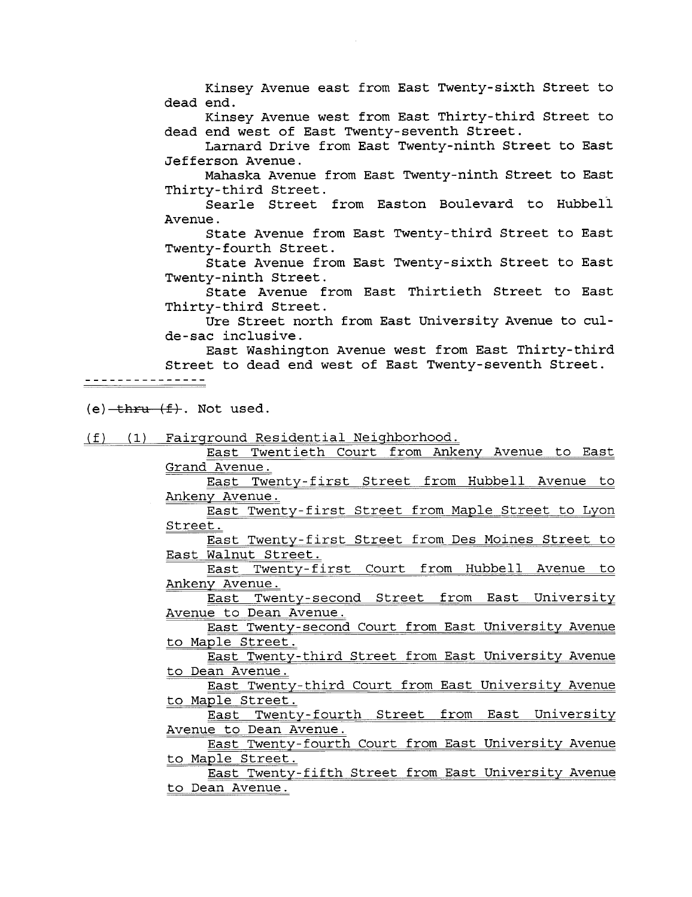Kinsey Avenue east from East Twenty-sixth Street to dead end.

Kinsey Avenue west from East Thirty-third Street to dead end west of East Twenty-seventh Street.

Larnard Drive from East Twenty-ninth Street to East Jefferson Avenue.

Mahaska Avenue from East Twenty-ninth Street to East Thirty-third Street.

Searle Street from Easton Boulevard to Hubbell Avenue.

State Avenue from East Twenty-third Street to East Twenty- fourth Street.

State Avenue from East Twenty-sixth Street to East Twenty-ninth Street.

State Avenue from East Thirtieth Street to East Thirty-third Street.

Ure Street north from East University Avenue to culde-sac inclusive.

East Washington Avenue west from East Thirty-third Street to dead end west of East Twenty-seventh Street.

 $(e)$  -thru  $(f)$ . Not used.

(f) (1) Fairground Residential Neighborhood.

East Twentieth Court from Ankeny Avenue to East Grand Avenue.

East Twenty-first Street from Hubbell Avenue to Ankeny Avenue.

East Twenty-first Street from Maple Street to Lyon Street.

East Twenty-first Street from Des Moines Street to East Walnut Street.

East Twenty-first Court from Hubbell Avenue to Ankeny Avenue.

East Twenty-second Street from East University Avenue to Dean Avenue.

East Twenty-second Court from East University Avenue to Maple Street.

East Twenty-third Street from East University Avenue to Dean Avenue.

East Twenty-third Court from East University Avenue

to Maple Street. East Twenty-fourth Street from East University Avenue to Dean Avenue.

East Twenty-fourth Court from East University Avenue to Maple Street.

East Twenty-fifth Street from East University Avenue to Dean Avenue.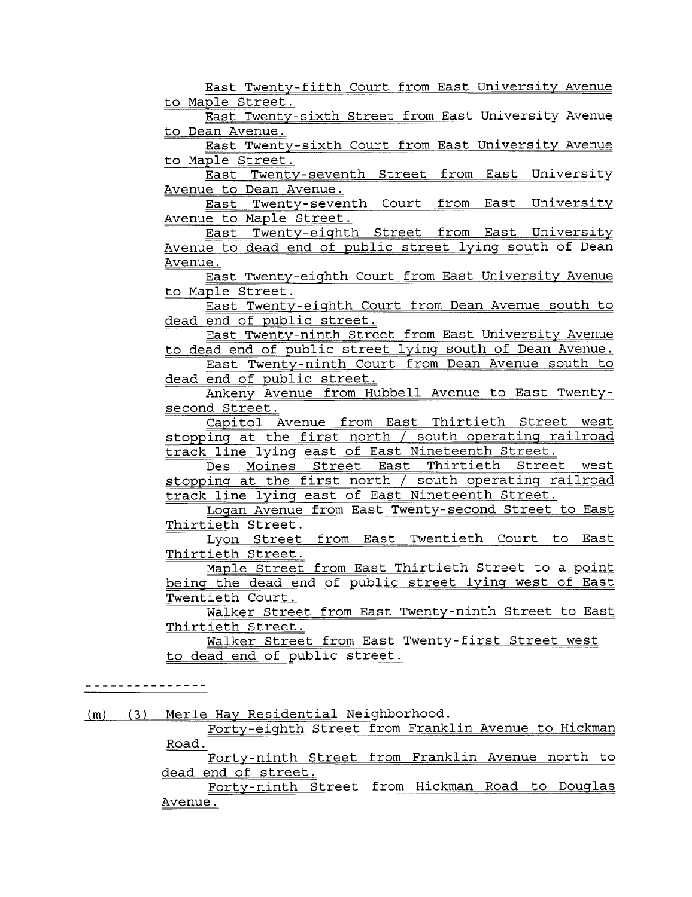East Twenty-fifth Court from East University Avenue to Maple Street.

East Twenty-sixth Street from East University Avenue to Dean Avenue.

East Twenty-sixth Court from East University Avenue to Maple Street.

East Twenty-seventh Street from East University

Avenue to Dean Avenue.<br>East Twenty-seventh Court from East University

Avenue to Maple Street.<br>East Twenty-eighth Street from East University Avenue to dead end of public street lying south of Dean Avenue.

East Twenty-eighth Court from East University Avenue to Maple Street.

East Twenty-eighth Court from Dean Avenue south to dead end of public street.

East Twenty-ninth Street from East University Avenue to dead end of public street lying south of Dean Avenue.

East Twenty-ninth Court from Dean Avenue south to dead end of public street.

Ankeny Avenue from Hubbell Avenue to East Twentysecond Street.

Capitol Avenue from East Thirtieth Street west stopping at the first north / south operating railroad track line lying east of East Nineteenth Street.

Des Moines Street East Thirtieth Street west stopping at the first north / south operating railroad track line lying east of East Nineteenth Street.

Logan Avenue from East Twenty- second Street to East Thirtieth Street.

Lyon Street from East Twentieth Court to East Thirtieth Street.

Maple Street from East Thirtieth Street to a point being the dead end of public street lying west of East Twentieth Court.

Walker Street from East Twenty-ninth Street to East Thirtieth Street.

Walker Street from East Twenty-first Street west to dead end of public street.

---------------

 $(m)$  (3) Merle Hay Residential Neighborhood. Forty-eighth Street from Franklin Avenue to Hickman Road. Forty-ninth Street from Franklin Avenue north to dead end of street. Forty-ninth Street from Hickman Road to Douglas Avenue.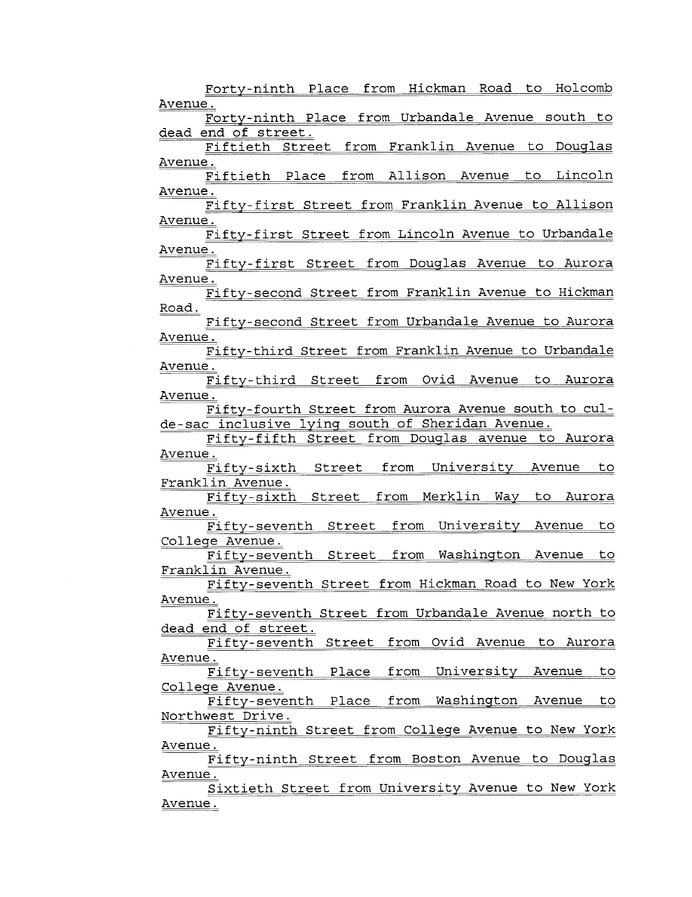Forty-ninth Place from Hickman Road to Holcomb Avenue. Forty-ninth Place from Urbandale Avenue south to dead end of street. Fiftieth Street from Franklin Avenue to Douglas Avenue. Fiftieth Place from Allison Avenue to Lincoln Avenue. Fifty-first Street from Franklin Avenue to Allison Avenue. Fifty- first Street from Lincoln Avenue to Urbandale Avenue. Fifty-first Street from Douglas Avenue to Aurora Avenue. Fifty-second Street from Franklin Avenue to Hickman Road. Fifty-second Street from Urbandale Avenue to Aurora Avenue. Fifty-third Street from Franklin Avenue to Urbandale Avenue. Fifty-third Street from Ovid Avenue to Aurora Avenue. Fifty- fourth Street from Aurora Avenue south to culde-sac inclusive lying south of Sheridan Avenue. Fifty-fifth Street from Douglas avenue to Aurora Avenue. Fifty-sixth Street from University Avenue to Franklin Avenue. Fifty-sixth Street from Merklin Way to Aurora Avenue. Fifty-seventh Street from University Avenue to College Avenue. Fifty-seventh Street from Washington Avenue to Franklin Avenue. Fifty- seventh Street from Hickman Road to New York Avenue. Fifty- seventh Street from Urbandale Avenue north to dead end of street. Fifty-seventh Street from Ovid Avenue to Aurora Avenue. Fifty-seventh Place from University Avenue to College Avenue. Fifty-seventh Place from Washington Avenue to Northwest Drive. Fifty-ninth Street from College Avenue to New York Avenue. Fifty-ninth Street from Boston Avenue to Douglas Avenue. Sixtieth Street from University Avenue to New York Avenue.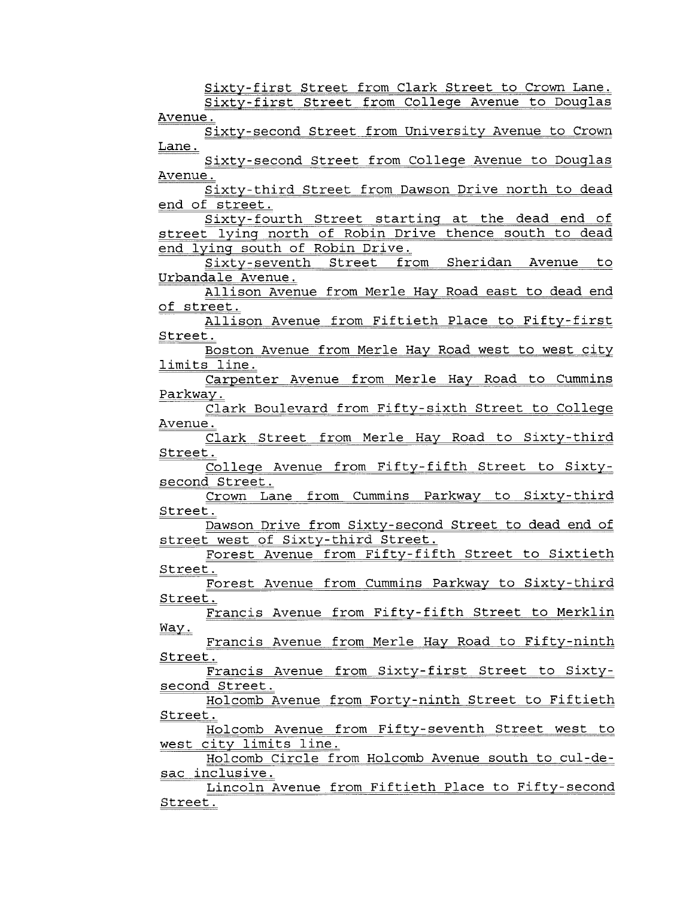Sixty-first Street from Clark Street to Crown Lane.

Sixty-first Street from College Avenue to Douglas Avenue.

Sixty-second Street from University Avenue to Crown Lane.

Sixty- second Street from College Avenue to Douglas Avenue.

Sixty- third Street from Dawson Drive north to dead end of street.

Sixty- fourth Street starting at the dead end of street lying north of Robin Drive thence south to dead end lying south of Robin Drive.<br>Sixty-seventh Street from Sheridan Avenue to

Urbandale Avenue.

Allison Avenue from Merle Hay Road east to dead end of street.

Allison Avenue from Fiftieth Place to Fifty-first Street.

Boston Avenue from Merle Hay Road west to west city limits line.

Carpenter Avenue from Merle Hay Road to Cummins Parkway.

Clark Boulevard from Fifty-sixth Street to College Avenue.

Clark Street from Merle Hay Road to Sixty-third Street.

College Avenue from Fifty-fifth Street to Sixtysecond Street.

Crown Lane from Cummins Parkway to Sixty-third Street.

Dawson Drive from Sixty-second Street to dead end of street west of Sixty-third Street.

Forest Avenue from Fifty-fifth Street to Sixtieth Street.

Forest Avenue from Cummins Parkway to Sixty- third Street.

Francis Avenue from Fifty-fifth Street to Merklin Way.

Francis Avenue from Merle Hay Road to Fifty-ninth Street.

Francis Avenue from Sixty-first Street to Sixtysecond Street.

Holcomb Avenue from Forty-ninth Street to Fiftieth Street.

Holcomb Avenue from Fifty- seventh Street west to west city limits line.

Holcomb Circle from Holcomb Avenue south to cul-desac inclusive.

Lincoln Avenue from Fiftieth Place to Fifty- second Street.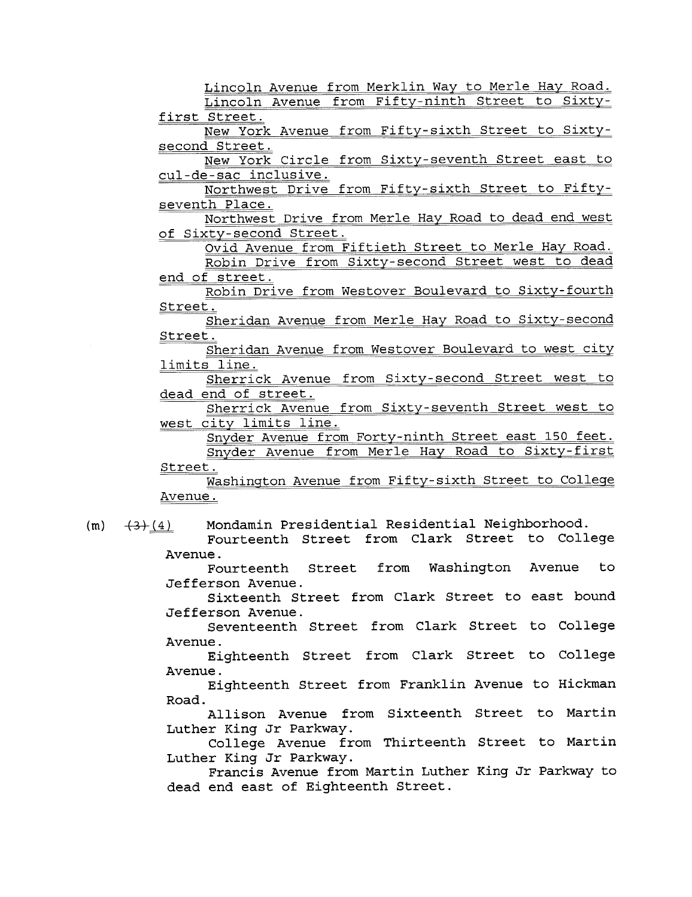Lincoln Avenue from Merklin Way to Merle Hay Road. Lincoln Avenue from Fifty-ninth Street to Sixty-

first Street.

New York Avenue from Fifty- sixth Street to Sixtysecond Street.

New York Circle from Sixty- seventh Street east to cul-de-sac inclusive.

Northwest Drive from Fifty-sixth Street to Fiftyseventh Place.

Northwest Drive from Merle Hay Road to dead end west of Sixty-second Street.

Ovid Avenue from Fiftieth Street to Merle Hay Road. Robin Drive from Sixty- second Street west to dead

end of street. Robin Drive from Westover Boulevard to Sixty-fourth

Street.

Sheridan Avenue from Merle Hay Road to Sixty- second Street.

Sheridan Avenue from Westover Boulevard to west city limits line.

Sherrick Avenue from Sixty-second Street west to dead end of street.

Sherrick Avenue from Sixty-seventh Street west to west city limits line.

Snyder Avenue from Forty-ninth Street east 150 feet. Snyder Avenue from Merle Hay Road to Sixty-first Street.

washington Avenue from Fifty-sixth Street to College Avenue.

 $(m)$   $(4)$  Mondamin Presidential Residential Neighborhood.

Fourteenth Street from Clark Street to College Avenue.

Fourteenth Street from Washington Avenue to Jefferson Avenue.

Sixteenth Street from Clark Street to east bound Jefferson Avenue.

Seventeenth Street from Clark Street to College Avenue.

Eighteenth Street from Clark Street to College Avenue.

Eighteenth Street from Franklin Avenue to Hickman Road.

Allison Avenue from Sixteenth Street to Martin Luther King Jr Parkway.

College Avenue from Thirteenth Street to Martin Luther King Jr Parkway.

Francis Avenue from Martin Luther King Jr Parkway to dead end east of Eighteenth Street.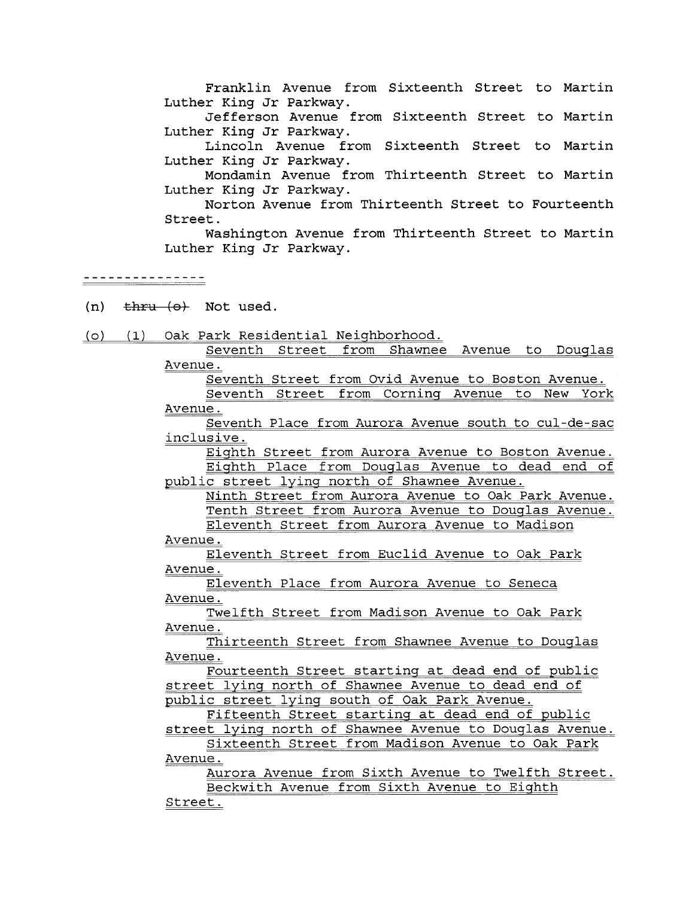Franklin Avenue from Sixteenth Street to Martin Luther King Jr Parkway.

Jefferson Avenue from Sixteenth Street to Martin Luther King Jr Parkway.

Lincoln Avenue from Sixteenth Street to Martin Luther King Jr Parkway.

Mondamin Avenue from Thirteenth Street to Martin Luther King Jr Parkway.

Norton Avenue from Thirteenth Street to Fourteenth Street.

Washington Avenue from Thirteenth Street to Martin Luther King Jr Parkway.

- (n)  $\frac{1}{2}$  thru  $\left\{ \Theta \right\}$  Not used.
- (0) (1) Oak Park Residential Neighborhood.

Seventh Street from Shawnee Avenue to Douglas Avenue.

Seventh Street from Ovid Avenue to Boston Avenue. Seventh Street from Corning Avenue to New York

Avenue.

Seventh Place from Aurora Avenue south to cul-de-sac inclusive.

Eighth Street from Aurora Avenue to Boston Avenue. Eighth Place from Douglas Avenue to dead end of public street lying north of Shawnee Avenue.

Ninth Street from Aurora Avenue to Oak Park Avenue. Tenth Street from Aurora Avenue to Douglas Avenue.

Eleventh Street from Aurora Avenue to Madison Avenue.

Eleventh Street from Euclid Avenue to Oak Park Avenue.

Eleventh Place from Aurora Avenue to Seneca Avenue.

Twelfth Street from Madison Avenue to Oak Park Avenue.

Thirteenth Street from Shawnee Avenue to Douglas Avenue.

Fourteenth Street starting at dead end of public street lying north of Shawnee Avenue to dead end of public street lying south of Oak Park Avenue.

Fifteenth Street starting at dead end of public

street lying north of Shawnee Avenue to Douglas Avenue. Sixteenth Street from Madison Avenue to Oak Park Avenue.

Aurora Avenue from Sixth Avenue to Twelfth Street. Beckwith Avenue from Sixth Avenue to Eighth

Street.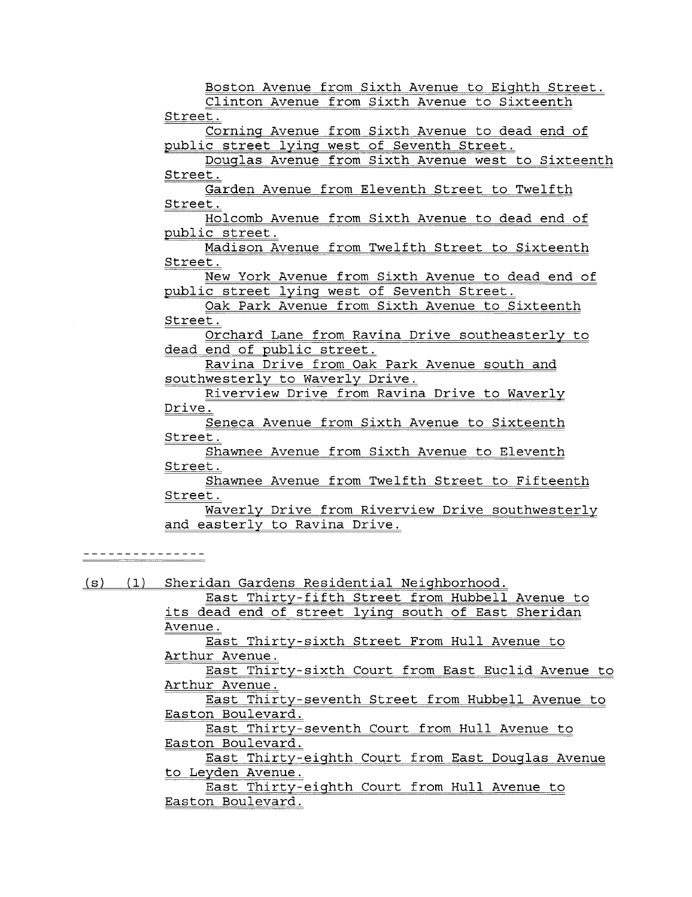Boston Avenue from Sixth Avenue to Eighth Street. Clinton Avenue from Sixth Avenue to Sixteenth Street. Corning Avenue from Sixth Avenue to dead end of public street lying west of Seventh Street. Douglas Avenue from Sixth Avenue west to Sixteenth Street. Garden Avenue from Eleventh Street to Twelfth Street. Holcomb Avenue from Sixth Avenue to dead end of public street. Madison Avenue from Twelfth Street to Sixteenth Street. New York Avenue from Sixth Avenue to dead end of public street lying west of Seventh Street. Oak Park Avenue from Sixth Avenue to Sixteenth Street. Orchard Lane from Ravina Drive southeasterly to dead end of public street. Ravina Drive from Oak Park Avenue south and southwesterly to Waverly Drive. Riverview Drive from Ravina Drive to Waverly Drive. Seneca Avenue from Sixth Avenue to Sixteenth Street. Shawnee Avenue from Sixth Avenue to Eleventh Street. Shawnee Avenue from Twelfth Street to Fifteenth Street. Waverly Drive from Riverview Drive southwesterly and easterly to Ravina Drive. - - - - - - - - - - - - - - -(s) (1) Sheridan Gardens Residential Neighborhood.

East Thirty-fifth Street from Hubbell Avenue to its dead end of street lying south of East Sheridan Avenue.

East Thirty-sixth Street From Hull Avenue to Arthur Avenue.

East Thirty-sixth Court from East Euclid Avenue to Arthur Avenue.

East Thirty-seventh Street from Hubbell Avenue to Easton Boulevard.

East Thirty-seventh Court from Hull Avenue to Easton Boulevard.

East Thirty-eighth Court from East Douglas Avenue to Leyden Avenue.

East Thirty-eighth Court from Hull Avenue to Easton Boulevard.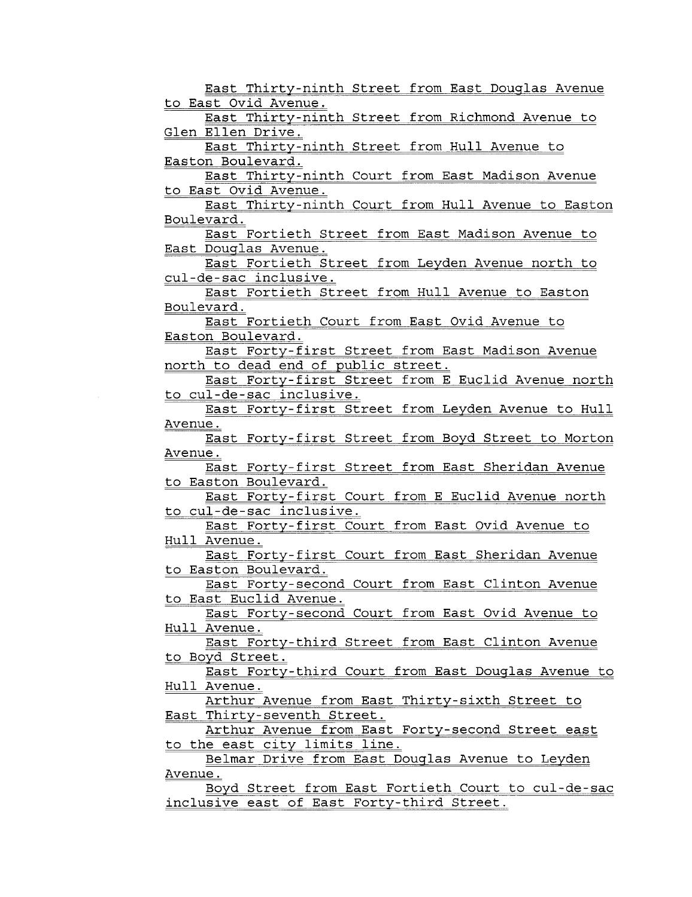East Thirty-ninth Street from East Douglas Avenue to East Ovid Avenue. East Thirty-ninth Street from Richmond Avenue to Glen Ellen Drive. East Thirty-ninth Street from Hull Avenue to Easton Boulevard. East Thirty-ninth Court from East Madison Avenue to East Ovid Avenue. East Thirty-ninth Court from Hull Avenue to Easton Boulevard. East Fortieth Street from East Madison Avenue to East Douglas Avenue. East Fortieth Street from Leyden Avenue north to cul-de-sac inclusive. East Fortieth Street from Hull Avenue to Easton Boulevard. East Fortieth Court from East Ovid Avenue to Easton Boulevard. East Forty-first Street from East Madison Avenue north to dead end of public street. East Forty-first Street from E Euclid Avenue north to cul-de-sac inclusive. East Forty-first Street from Leyden Avenue to Hull Avenue. East Forty-first Street from Boyd Street to Morton Avenue. East Forty-first Street from East Sheridan Avenue to Easton Boulevard. East Forty-first Court from E Euclid Avenue north to cul-de-sac inclusive. East Forty-first Court from East Ovid Avenue to Hull Avenue. East Forty-first Court from East Sheridan Avenue to Easton Boulevard. East Forty- second Court from East Clinton Avenue to East Euclid Avenue. East Forty- second Court from East Ovid Avenue to Hull Avenue. East Forty-third Street from East Clinton Avenue to Boyd Street. East Forty-third Court from East Douglas Avenue to Hull Avenue. Arthur Avenue from East Thirty-sixth Street to East Thirty-seventh Street. Arthur Avenue from East Forty-second Street east<br>to the east city limits line. Belmar Drive from East Douglas Avenue to Leyden Avenue. Boyd Street from East Fortieth Court to cul-de-sac inclusive east of East Forty-third Street.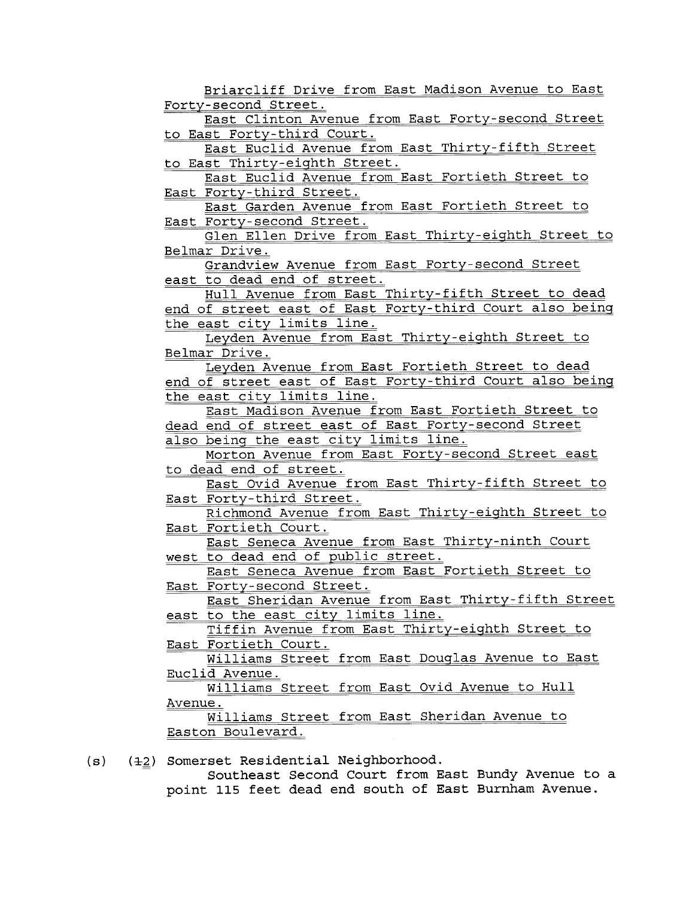Briarcliff Drive from East Madison Avenue to East Forty- second Street. East Clinton Avenue from East Forty-second Street to East Forty-third Court. East Euclid Avenue from East Thirty-fifth Street to East Thirty-eighth Street. East Euclid Avenue from East Fortieth Street to East Forty-third Street. East Garden Avenue from East Fortieth Street to East Forty- second Street. Glen Ellen Drive from East Thirty-eighth Street to Belmar Drive. Grandview Avenue from East Forty-second Street east to dead end of street. Hull Avenue from East Thirty-fifth Street to dead end of street east of East Forty-third Court also being the east city limits line. Leyden Avenue from East Thirty-eighth Street to Belmar Drive. Leyden Avenue from East Fortieth Street to dead end of street east of East Forty-third Court also being<br>the east city limits line. East Madison Avenue from East Fortieth Street to dead end of street east of East Forty-second Street also being the east city limits line. Morton Avenue from East Forty-second Street east to dead end of street. East Ovid Avenue from East Thirty-fifth Street to East Forty-third Street. Richmond Avenue from East Thirty-eighth Street to East Fortieth Court. East Seneca Avenue from East Thirty-ninth Court west to dead end of public street. East Seneca Avenue from East Fortieth Street to East Forty-second Street. East Sheridan Avenue from East Thirty-fifth Street east to the east city limits line. Tiffin Avenue from East Thirty-eighth Street to East Fortieth Court. Williams Street from East Douglas Avenue to East Euclid Avenue. Williams Street from East Ovid Avenue to Hull Avenue. Williams Street from East Sheridan Avenue to Easton Boulevard. (s) (+2) Somerset Residential Neighborhood.

Southeast Second Court from East Bundy Avenue to a point 115 feet dead end south of East Burnham Avenue.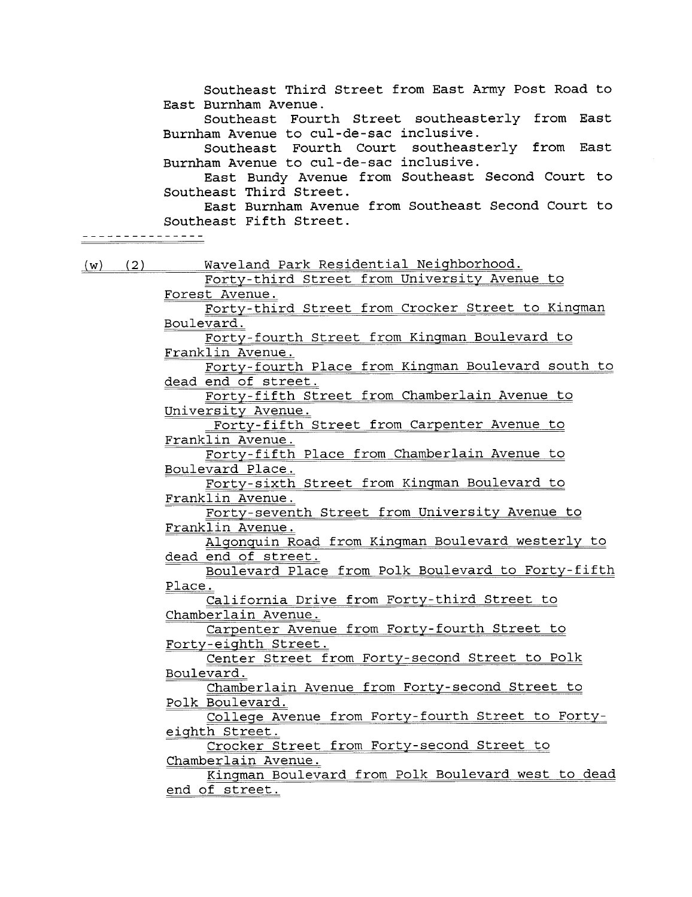Southeast Third Street from East Army Post Road to East Burnham Avenue. Southeast Fourth Street southeasterly from East Burnham Avenue to cul-de-sac inclusive. Southeast Fourth Court southeasterly from East Burnham Avenue to cul-de-sac inclusive. East Bundy Avenue from Southeast Second Court to Southeast Third Street. East Burnham Avenue from Southeast Second Court to Southeast Fifth Street. -----**----------**(w) (2) Waveland Park Residential Neighborhood. Forty-third Street from University Avenue to Forest Avenue. Forty- third Street from Crocker Street to Kingman Boulevard. Forty- fourth Street from Kingman Boulevard to Franklin Avenue. Forty- fourth Place from Kingman Boulevard south to dead end of street. Forty-fifth Street from Chamberlain Avenue to University Avenue. Forty- fifth Street from Carpenter Avenue to Franklin Avenue. Forty-fifth Place from Chamberlain Avenue to Boulevard Place. Forty-sixth Street from Kingman Boulevard to Franklin Avenue. Forty-seventh Street from University Avenue to Franklin Avenue. Algonquin Road from Kingman Boulevard westerly to dead end of street. Boulevard Place from Polk Boulevard to Forty-fifth Place. California Drive from Forty-third Street to Chamberlain Avenue. Carpenter Avenue from Forty- fourth Street to Forty-eighth Street. Center Street from Forty- second Street to Polk Boulevard. Chamberlain Avenue from Forty- second Street to Polk Boulevard. College Avenue from Forty- fourth Street to Fortyeighth Street. Crocker Street from Forty-second Street to Chamberlain Avenue. Kingman Boulevard from Polk Boulevard west to dead end of street.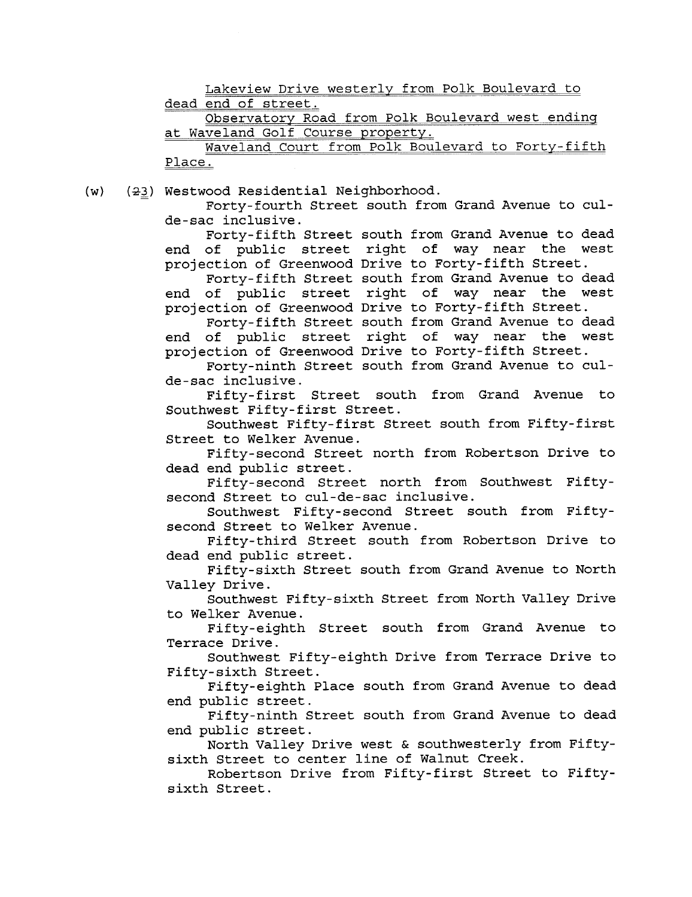Lakeview Drive westerly from Polk Boulevard to dead end of street. Observatory Road from Polk Boulevard west ending at Waveland Golf Course property. Waveland Court from Polk Boulevard to Forty-fifth Place.  $(w)$  (23) Westwood Residential Neighborhood. Forty-fourth Street south from Grand Avenue to culde-sac inclusive. Forty-fifth Street south from Grand Avenue to dead end of public street right of way near the west projection of Greenwood Drive to Forty-fifth Street. Forty-fifth Street south from Grand Avenue to dead end of public street right of way near the west projection of Greenwood Drive to Forty-fifth Street. Forty- fifth Street south from Grand Avenue to dead end of public street right of way near the west projection of Greenwood Drive to Forty-fifth Street. Forty-ninth Street south from Grand Avenue to culde-sac inclusive. Fifty-first Street south from Grand Avenue to Southwest Fifty- first Street. Southwest Fifty-first Street south from Fifty-first Street to Welker Avenue. Fifty-second Street north from Robertson Drive to dead end public street.<br>Fifty-second Street north from Southwest Fiftysecond Street to cul-de-sac inclusive. Southwest Fifty-second Street south from Fiftysecond Street to Welker Avenue. Fifty-third Street south from Robertson Drive to dead end public street. Fifty-sixth Street south from Grand Avenue to North Valley Drive. Southwest Fifty- sixth Street from North Valley Drive to Welker Avenue. Fifty-eighth Street south from Grand Avenue to Terrace Drive. Southwest Fifty-eighth Drive from Terrace Drive to Fifty- sixth Street. Fifty-eighth Place south from Grand Avenue to dead end public street. Fifty-ninth Street south from Grand Avenue to dead end public street. North Valley Drive west & southwesterly from Fiftysixth Street to center line of Walnut Creek. Robertson Drive from Fifty-first Street to Fiftysixth Street.